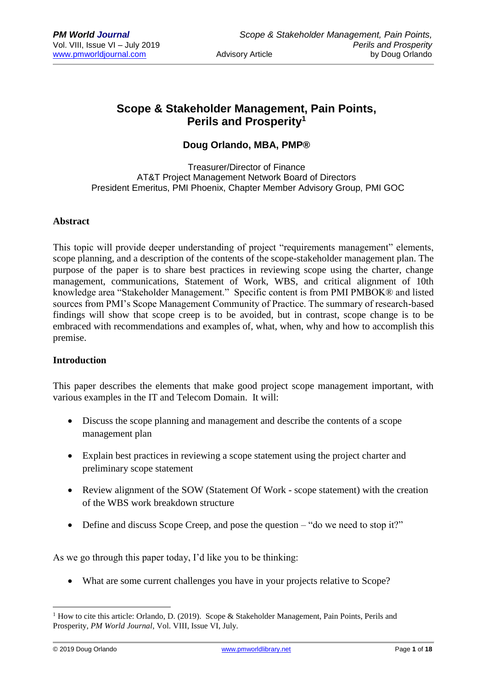# **Scope & Stakeholder Management, Pain Points, Perils and Prosperity<sup>1</sup>**

# **Doug Orlando, MBA, PMP®**

Treasurer/Director of Finance AT&T Project Management Network Board of Directors President Emeritus, PMI Phoenix, Chapter Member Advisory Group, PMI GOC

#### **Abstract**

This topic will provide deeper understanding of project "requirements management" elements, scope planning, and a description of the contents of the scope-stakeholder management plan. The purpose of the paper is to share best practices in reviewing scope using the charter, change management, communications, Statement of Work, WBS, and critical alignment of 10th knowledge area "Stakeholder Management." Specific content is from PMI PMBOK® and listed sources from PMI's Scope Management Community of Practice. The summary of research-based findings will show that scope creep is to be avoided, but in contrast, scope change is to be embraced with recommendations and examples of, what, when, why and how to accomplish this premise.

#### **Introduction**

This paper describes the elements that make good project scope management important, with various examples in the IT and Telecom Domain. It will:

- Discuss the scope planning and management and describe the contents of a scope management plan
- Explain best practices in reviewing a scope statement using the project charter and preliminary scope statement
- Review alignment of the SOW (Statement Of Work scope statement) with the creation of the WBS work breakdown structure
- Define and discuss Scope Creep, and pose the question "do we need to stop it?"

As we go through this paper today, I'd like you to be thinking:

What are some current challenges you have in your projects relative to Scope?

<u>.</u>

<sup>&</sup>lt;sup>1</sup> How to cite this article: Orlando, D. (2019). Scope & Stakeholder Management, Pain Points, Perils and Prosperity, *PM World Journal*, Vol. VIII, Issue VI, July.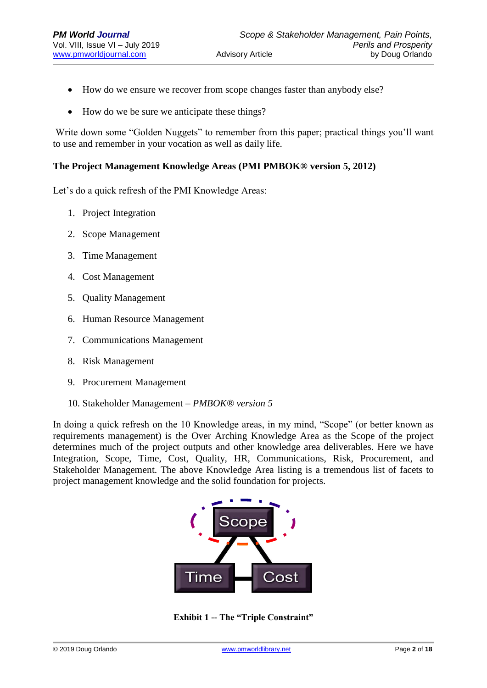- How do we ensure we recover from scope changes faster than anybody else?
- How do we be sure we anticipate these things?

Write down some "Golden Nuggets" to remember from this paper; practical things you'll want to use and remember in your vocation as well as daily life.

### **The Project Management Knowledge Areas (PMI PMBOK® version 5, 2012)**

Let's do a quick refresh of the PMI Knowledge Areas:

- 1. Project Integration
- 2. Scope Management
- 3. Time Management
- 4. Cost Management
- 5. Quality Management
- 6. Human Resource Management
- 7. Communications Management
- 8. Risk Management
- 9. Procurement Management
- 10. Stakeholder Management *PMBOK® version 5*

In doing a quick refresh on the 10 Knowledge areas, in my mind, "Scope" (or better known as requirements management) is the Over Arching Knowledge Area as the Scope of the project determines much of the project outputs and other knowledge area deliverables. Here we have Integration, Scope, Time, Cost, Quality, HR, Communications, Risk, Procurement, and Stakeholder Management. The above Knowledge Area listing is a tremendous list of facets to project management knowledge and the solid foundation for projects.



**Exhibit 1 -- The "Triple Constraint"**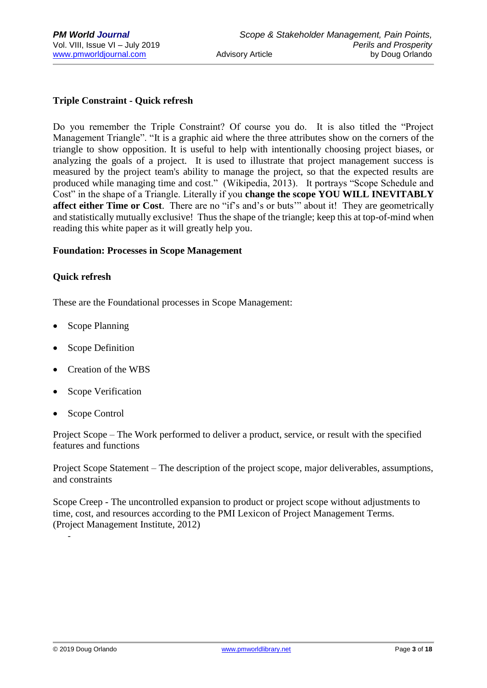# **Triple Constraint - Quick refresh**

Do you remember the Triple Constraint? Of course you do. It is also titled the "Project Management Triangle". "It is a graphic aid where the three attributes show on the corners of the triangle to show opposition. It is useful to help with intentionally choosing project biases, or analyzing the goals of a project. It is used to illustrate that project management success is measured by the project team's ability to manage the project, so that the expected results are produced while managing time and cost." (Wikipedia, 2013). It portrays "Scope Schedule and Cost" in the shape of a Triangle. Literally if you **change the scope YOU WILL INEVITABLY affect either Time or Cost**. There are no "if's and's or buts'" about it! They are geometrically and statistically mutually exclusive! Thus the shape of the triangle; keep this at top-of-mind when reading this white paper as it will greatly help you.

#### **Foundation: Processes in Scope Management**

#### **Quick refresh**

These are the Foundational processes in Scope Management:

- Scope Planning
- Scope Definition
- Creation of the WBS
- Scope Verification
- Scope Control

Project Scope – The Work performed to deliver a product, service, or result with the specified features and functions

Project Scope Statement – The description of the project scope, major deliverables, assumptions, and constraints

Scope Creep - The uncontrolled expansion to product or project scope without adjustments to time, cost, and resources according to the PMI Lexicon of Project Management Terms. (Project Management Institute, 2012)

-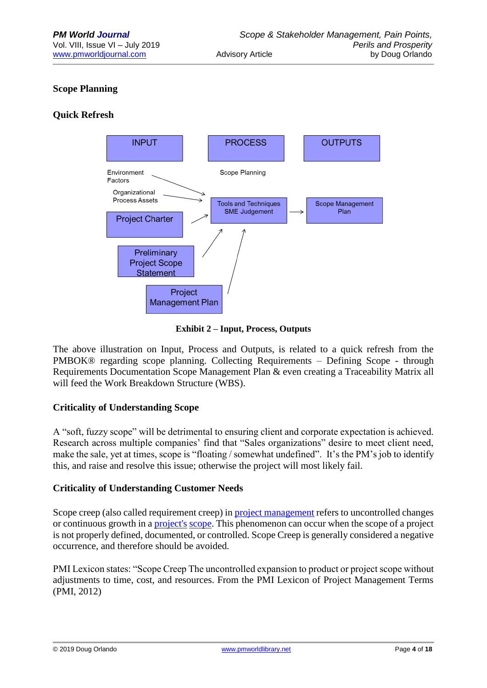# **Scope Planning**

# **Quick Refresh**



**Exhibit 2 – Input, Process, Outputs**

The above illustration on Input, Process and Outputs, is related to a quick refresh from the PMBOK® regarding scope planning. Collecting Requirements – Defining Scope - through Requirements Documentation Scope Management Plan & even creating a Traceability Matrix all will feed the Work Breakdown Structure (WBS).

# **Criticality of Understanding Scope**

A "soft, fuzzy scope" will be detrimental to ensuring client and corporate expectation is achieved. Research across multiple companies' find that "Sales organizations" desire to meet client need, make the sale, yet at times, scope is "floating / somewhat undefined". It's the PM's job to identify this, and raise and resolve this issue; otherwise the project will most likely fail.

# **Criticality of Understanding Customer Needs**

Scope creep (also called requirement creep) in [project management](http://en.wikipedia.org/wiki/Project_management) refers to uncontrolled changes or continuous growth in a [project's](http://en.wikipedia.org/wiki/Project) [scope.](http://en.wikipedia.org/wiki/Scope_(project_management)) This phenomenon can occur when the scope of a project is not properly defined, documented, or controlled. Scope Creep is generally considered a negative occurrence, and therefore should be avoided.

PMI Lexicon states: "Scope Creep The uncontrolled expansion to product or project scope without adjustments to time, cost, and resources. From the PMI Lexicon of Project Management Terms (PMI, 2012)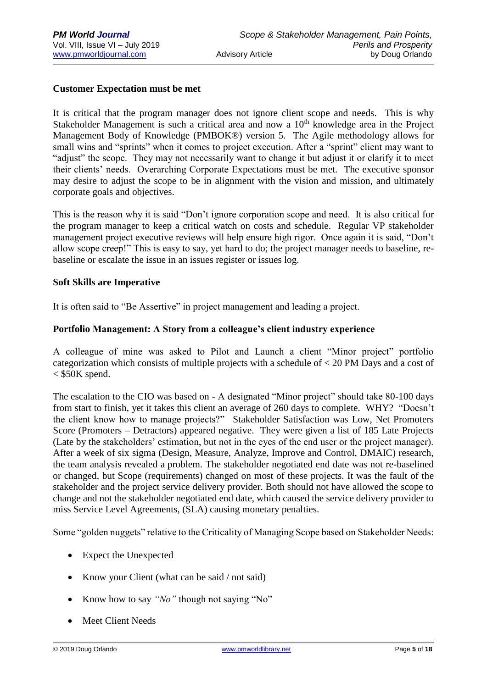# **Customer Expectation must be met**

It is critical that the program manager does not ignore client scope and needs. This is why Stakeholder Management is such a critical area and now a  $10<sup>th</sup>$  knowledge area in the Project Management Body of Knowledge (PMBOK®) version 5. The Agile methodology allows for small wins and "sprints" when it comes to project execution. After a "sprint" client may want to "adjust" the scope. They may not necessarily want to change it but adjust it or clarify it to meet their clients' needs. Overarching Corporate Expectations must be met. The executive sponsor may desire to adjust the scope to be in alignment with the vision and mission, and ultimately corporate goals and objectives.

This is the reason why it is said "Don't ignore corporation scope and need. It is also critical for the program manager to keep a critical watch on costs and schedule. Regular VP stakeholder management project executive reviews will help ensure high rigor. Once again it is said, "Don't allow scope creep!" This is easy to say, yet hard to do; the project manager needs to baseline, rebaseline or escalate the issue in an issues register or issues log.

# **Soft Skills are Imperative**

It is often said to "Be Assertive" in project management and leading a project.

# **Portfolio Management: A Story from a colleague's client industry experience**

A colleague of mine was asked to Pilot and Launch a client "Minor project" portfolio categorization which consists of multiple projects with a schedule of < 20 PM Days and a cost of  $<$  \$50K spend.

The escalation to the CIO was based on - A designated "Minor project" should take 80-100 days from start to finish, yet it takes this client an average of 260 days to complete. WHY? "Doesn't the client know how to manage projects?" Stakeholder Satisfaction was Low, Net Promoters Score (Promoters – Detractors) appeared negative. They were given a list of 185 Late Projects (Late by the stakeholders' estimation, but not in the eyes of the end user or the project manager). After a week of six sigma (Design, Measure, Analyze, Improve and Control, DMAIC) research, the team analysis revealed a problem. The stakeholder negotiated end date was not re-baselined or changed, but Scope (requirements) changed on most of these projects. It was the fault of the stakeholder and the project service delivery provider. Both should not have allowed the scope to change and not the stakeholder negotiated end date, which caused the service delivery provider to miss Service Level Agreements, (SLA) causing monetary penalties.

Some "golden nuggets" relative to the Criticality of Managing Scope based on Stakeholder Needs:

- Expect the Unexpected
- Know your Client (what can be said / not said)
- Know how to say "No" though not saying "No"
- **Meet Client Needs**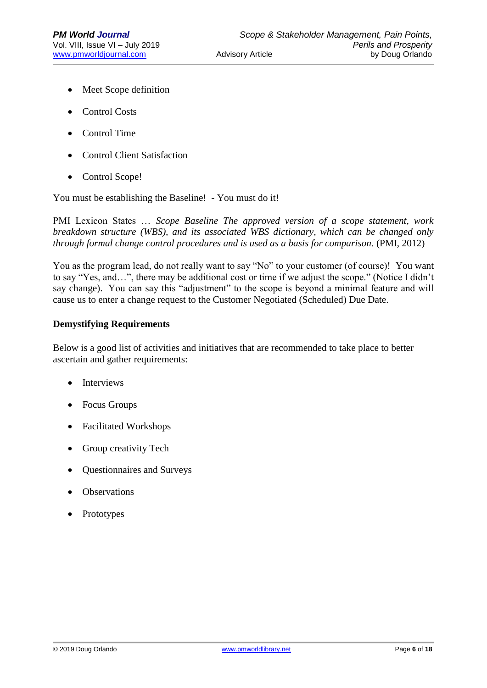- Meet Scope definition
- Control Costs
- Control Time
- Control Client Satisfaction
- Control Scope!

You must be establishing the Baseline! - You must do it!

PMI Lexicon States … *Scope Baseline The approved version of a scope statement, work breakdown structure (WBS), and its associated WBS dictionary, which can be changed only through formal change control procedures and is used as a basis for comparison.* (PMI, 2012)

You as the program lead, do not really want to say "No" to your customer (of course)! You want to say "Yes, and…", there may be additional cost or time if we adjust the scope." (Notice I didn't say change). You can say this "adjustment" to the scope is beyond a minimal feature and will cause us to enter a change request to the Customer Negotiated (Scheduled) Due Date.

#### **Demystifying Requirements**

Below is a good list of activities and initiatives that are recommended to take place to better ascertain and gather requirements:

- **Interviews**
- Focus Groups
- Facilitated Workshops
- Group creativity Tech
- Questionnaires and Surveys
- **Observations**
- **Prototypes**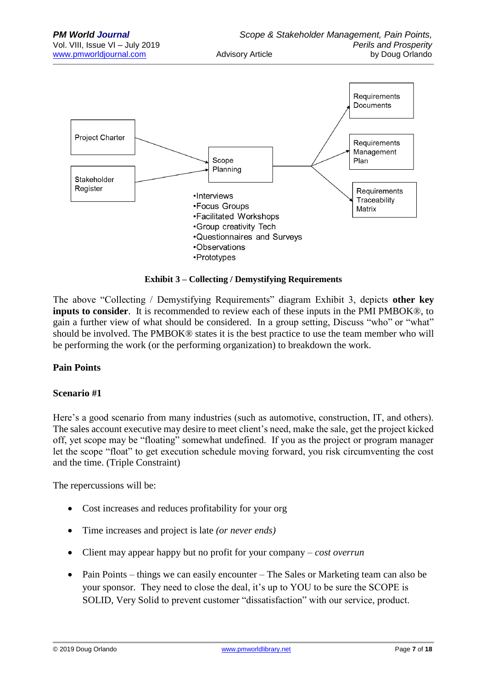

**Exhibit 3 – Collecting / Demystifying Requirements**

The above "Collecting / Demystifying Requirements" diagram Exhibit 3, depicts **other key inputs to consider**. It is recommended to review each of these inputs in the PMI PMBOK®, to gain a further view of what should be considered. In a group setting, Discuss "who" or "what" should be involved. The PMBOK® states it is the best practice to use the team member who will be performing the work (or the performing organization) to breakdown the work.

# **Pain Points**

# **Scenario #1**

Here's a good scenario from many industries (such as automotive, construction, IT, and others). The sales account executive may desire to meet client's need, make the sale, get the project kicked off, yet scope may be "floating" somewhat undefined. If you as the project or program manager let the scope "float" to get execution schedule moving forward, you risk circumventing the cost and the time. (Triple Constraint)

The repercussions will be:

- Cost increases and reduces profitability for your org
- Time increases and project is late *(or never ends)*
- Client may appear happy but no profit for your company *cost overrun*
- Pain Points things we can easily encounter The Sales or Marketing team can also be your sponsor. They need to close the deal, it's up to YOU to be sure the SCOPE is SOLID, Very Solid to prevent customer "dissatisfaction" with our service, product.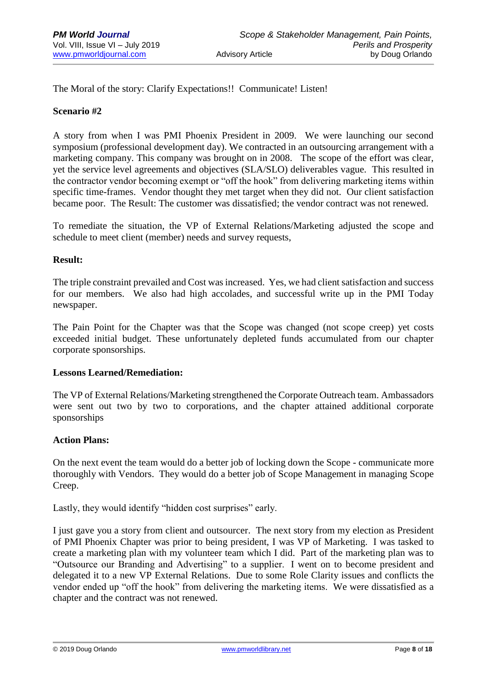The Moral of the story: Clarify Expectations!! Communicate! Listen!

### **Scenario #2**

A story from when I was PMI Phoenix President in 2009. We were launching our second symposium (professional development day). We contracted in an outsourcing arrangement with a marketing company. This company was brought on in 2008. The scope of the effort was clear, yet the service level agreements and objectives (SLA/SLO) deliverables vague. This resulted in the contractor vendor becoming exempt or "off the hook" from delivering marketing items within specific time-frames. Vendor thought they met target when they did not. Our client satisfaction became poor. The Result: The customer was dissatisfied; the vendor contract was not renewed.

To remediate the situation, the VP of External Relations/Marketing adjusted the scope and schedule to meet client (member) needs and survey requests,

#### **Result:**

The triple constraint prevailed and Cost was increased. Yes, we had client satisfaction and success for our members. We also had high accolades, and successful write up in the PMI Today newspaper.

The Pain Point for the Chapter was that the Scope was changed (not scope creep) yet costs exceeded initial budget. These unfortunately depleted funds accumulated from our chapter corporate sponsorships.

#### **Lessons Learned/Remediation:**

The VP of External Relations/Marketing strengthened the Corporate Outreach team. Ambassadors were sent out two by two to corporations, and the chapter attained additional corporate sponsorships

#### **Action Plans:**

On the next event the team would do a better job of locking down the Scope - communicate more thoroughly with Vendors. They would do a better job of Scope Management in managing Scope Creep.

Lastly, they would identify "hidden cost surprises" early.

I just gave you a story from client and outsourcer. The next story from my election as President of PMI Phoenix Chapter was prior to being president, I was VP of Marketing. I was tasked to create a marketing plan with my volunteer team which I did. Part of the marketing plan was to "Outsource our Branding and Advertising" to a supplier. I went on to become president and delegated it to a new VP External Relations. Due to some Role Clarity issues and conflicts the vendor ended up "off the hook" from delivering the marketing items. We were dissatisfied as a chapter and the contract was not renewed.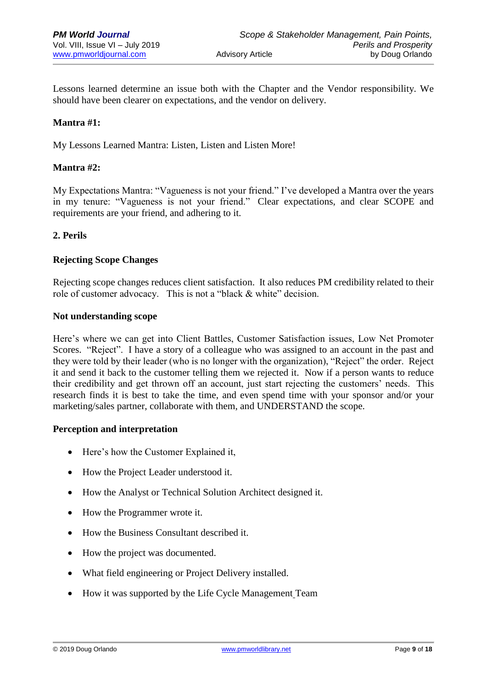Lessons learned determine an issue both with the Chapter and the Vendor responsibility. We should have been clearer on expectations, and the vendor on delivery.

# **Mantra #1:**

My Lessons Learned Mantra: Listen, Listen and Listen More!

# **Mantra #2:**

My Expectations Mantra: "Vagueness is not your friend." I've developed a Mantra over the years in my tenure: "Vagueness is not your friend." Clear expectations, and clear SCOPE and requirements are your friend, and adhering to it.

# **2. Perils**

#### **Rejecting Scope Changes**

Rejecting scope changes reduces client satisfaction. It also reduces PM credibility related to their role of customer advocacy. This is not a "black & white" decision.

#### **Not understanding scope**

Here's where we can get into Client Battles, Customer Satisfaction issues, Low Net Promoter Scores. "Reject". I have a story of a colleague who was assigned to an account in the past and they were told by their leader (who is no longer with the organization), "Reject" the order. Reject it and send it back to the customer telling them we rejected it. Now if a person wants to reduce their credibility and get thrown off an account, just start rejecting the customers' needs. This research finds it is best to take the time, and even spend time with your sponsor and/or your marketing/sales partner, collaborate with them, and UNDERSTAND the scope.

# **Perception and interpretation**

- Here's how the Customer Explained it,
- How the Project Leader understood it.
- How the Analyst or Technical Solution Architect designed it.
- How the Programmer wrote it.
- How the Business Consultant described it.
- How the project was documented.
- What field engineering or Project Delivery installed.
- How it was supported by the Life Cycle Management Team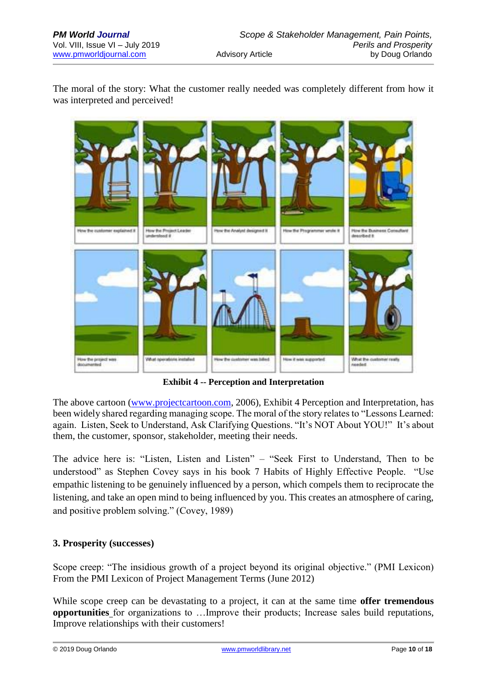The moral of the story: What the customer really needed was completely different from how it was interpreted and perceived!



**Exhibit 4 -- Perception and Interpretation**

The above cartoon [\(www.projectcartoon.com,](http://www.projectcartoon.com/) 2006), Exhibit 4 Perception and Interpretation, has been widely shared regarding managing scope. The moral of the story relates to "Lessons Learned: again. Listen, Seek to Understand, Ask Clarifying Questions. "It's NOT About YOU!" It's about them, the customer, sponsor, stakeholder, meeting their needs.

The advice here is: "Listen, Listen and Listen" – "Seek First to Understand, Then to be understood" as Stephen Covey says in his book 7 Habits of Highly Effective People. "Use empathic listening to be genuinely influenced by a person, which compels them to reciprocate the listening, and take an open mind to being influenced by you. This creates an atmosphere of caring, and positive problem solving." (Covey, 1989)

# **3. Prosperity (successes)**

Scope creep: "The insidious growth of a project beyond its original objective." (PMI Lexicon) From the PMI Lexicon of Project Management Terms (June 2012)

While scope creep can be devastating to a project, it can at the same time **offer tremendous opportunities** for organizations to …Improve their products; Increase sales build reputations, Improve relationships with their customers!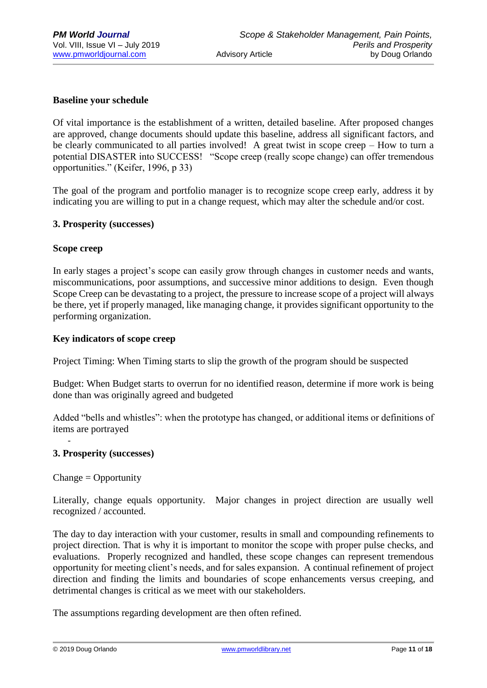# **Baseline your schedule**

Of vital importance is the establishment of a written, detailed baseline. After proposed changes are approved, change documents should update this baseline, address all significant factors, and be clearly communicated to all parties involved! A great twist in scope creep – How to turn a potential DISASTER into SUCCESS! "Scope creep (really scope change) can offer tremendous opportunities." (Keifer, 1996, p 33)

The goal of the program and portfolio manager is to recognize scope creep early, address it by indicating you are willing to put in a change request, which may alter the schedule and/or cost.

#### **3. Prosperity (successes)**

#### **Scope creep**

In early stages a project's scope can easily grow through changes in customer needs and wants, miscommunications, poor assumptions, and successive minor additions to design. Even though Scope Creep can be devastating to a project, the pressure to increase scope of a project will always be there, yet if properly managed, like managing change, it provides significant opportunity to the performing organization.

### **Key indicators of scope creep**

Project Timing: When Timing starts to slip the growth of the program should be suspected

Budget: When Budget starts to overrun for no identified reason, determine if more work is being done than was originally agreed and budgeted

Added "bells and whistles": when the prototype has changed, or additional items or definitions of items are portrayed

# **3. Prosperity (successes)**

Change = Opportunity

-

Literally, change equals opportunity. Major changes in project direction are usually well recognized / accounted.

The day to day interaction with your customer, results in small and compounding refinements to project direction. That is why it is important to monitor the scope with proper pulse checks, and evaluations. Properly recognized and handled, these scope changes can represent tremendous opportunity for meeting client's needs, and for sales expansion. A continual refinement of project direction and finding the limits and boundaries of scope enhancements versus creeping, and detrimental changes is critical as we meet with our stakeholders.

The assumptions regarding development are then often refined.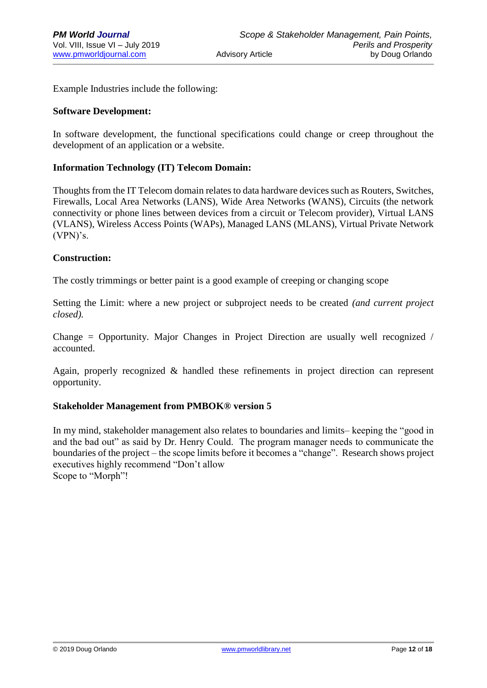Example Industries include the following:

### **Software Development:**

In software development, the functional specifications could change or creep throughout the development of an application or a website.

# **Information Technology (IT) Telecom Domain:**

Thoughts from the IT Telecom domain relates to data hardware devices such as Routers, Switches, Firewalls, Local Area Networks (LANS), Wide Area Networks (WANS), Circuits (the network connectivity or phone lines between devices from a circuit or Telecom provider), Virtual LANS (VLANS), Wireless Access Points (WAPs), Managed LANS (MLANS), Virtual Private Network (VPN)'s.

#### **Construction:**

The costly trimmings or better paint is a good example of creeping or changing scope

Setting the Limit: where a new project or subproject needs to be created *(and current project closed).*

Change = Opportunity. Major Changes in Project Direction are usually well recognized / accounted.

Again, properly recognized & handled these refinements in project direction can represent opportunity.

#### **Stakeholder Management from PMBOK® version 5**

In my mind, stakeholder management also relates to boundaries and limits– keeping the "good in and the bad out" as said by Dr. Henry Could. The program manager needs to communicate the boundaries of the project – the scope limits before it becomes a "change". Research shows project executives highly recommend "Don't allow Scope to "Morph"!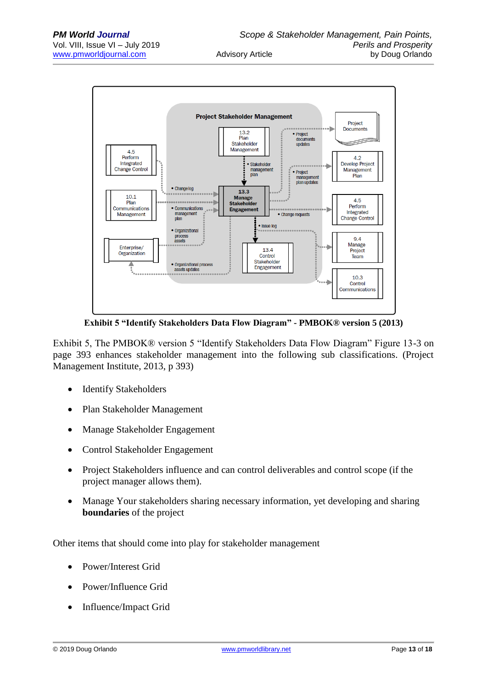

**Exhibit 5 "Identify Stakeholders Data Flow Diagram" - PMBOK® version 5 (2013)**

Exhibit 5, The PMBOK® version 5 "Identify Stakeholders Data Flow Diagram" Figure 13-3 on page 393 enhances stakeholder management into the following sub classifications. (Project Management Institute, 2013, p 393)

- Identify Stakeholders
- Plan Stakeholder Management
- Manage Stakeholder Engagement
- Control Stakeholder Engagement
- Project Stakeholders influence and can control deliverables and control scope (if the project manager allows them).
- Manage Your stakeholders sharing necessary information, yet developing and sharing **boundaries** of the project

Other items that should come into play for stakeholder management

- Power/Interest Grid
- Power/Influence Grid
- Influence/Impact Grid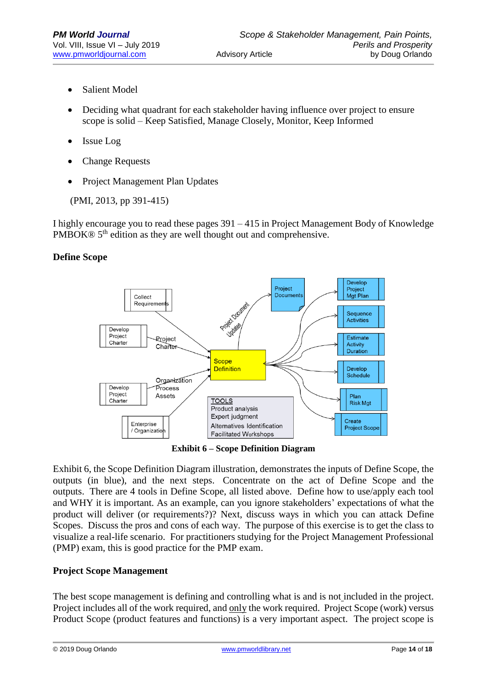- Salient Model
- Deciding what quadrant for each stakeholder having influence over project to ensure scope is solid – Keep Satisfied, Manage Closely, Monitor, Keep Informed
- Issue Log
- Change Requests
- Project Management Plan Updates

(PMI, 2013, pp 391-415)

I highly encourage you to read these pages 391 – 415 in Project Management Body of Knowledge PMBOK® 5<sup>th</sup> edition as they are well thought out and comprehensive.

# **Define Scope**



**Exhibit 6 – Scope Definition Diagram**

Exhibit 6, the Scope Definition Diagram illustration, demonstrates the inputs of Define Scope, the outputs (in blue), and the next steps. Concentrate on the act of Define Scope and the outputs. There are 4 tools in Define Scope, all listed above. Define how to use/apply each tool and WHY it is important. As an example, can you ignore stakeholders' expectations of what the product will deliver (or requirements?)? Next, discuss ways in which you can attack Define Scopes. Discuss the pros and cons of each way. The purpose of this exercise is to get the class to visualize a real-life scenario. For practitioners studying for the Project Management Professional (PMP) exam, this is good practice for the PMP exam.

# **Project Scope Management**

The best scope management is defining and controlling what is and is not included in the project. Project includes all of the work required, and only the work required. Project Scope (work) versus Product Scope (product features and functions) is a very important aspect. The project scope is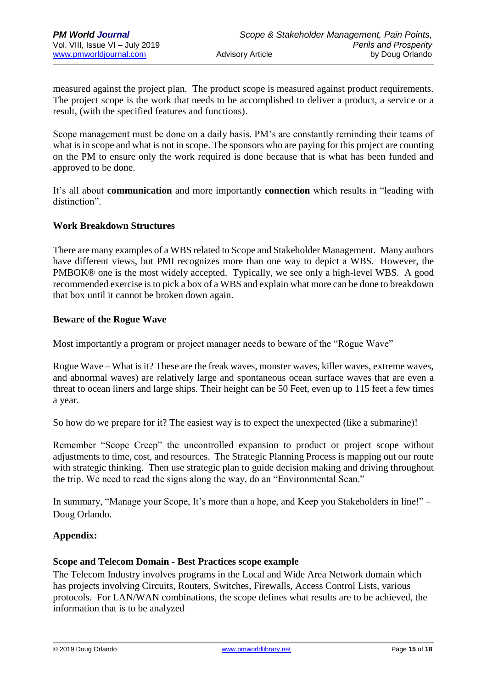measured against the project plan. The product scope is measured against product requirements. The project scope is the work that needs to be accomplished to deliver a product, a service or a result, (with the specified features and functions).

Scope management must be done on a daily basis. PM's are constantly reminding their teams of what is in scope and what is not in scope. The sponsors who are paying for this project are counting on the PM to ensure only the work required is done because that is what has been funded and approved to be done.

It's all about **communication** and more importantly **connection** which results in "leading with distinction".

# **Work Breakdown Structures**

There are many examples of a WBS related to Scope and Stakeholder Management. Many authors have different views, but PMI recognizes more than one way to depict a WBS. However, the PMBOK® one is the most widely accepted. Typically, we see only a high-level WBS. A good recommended exercise is to pick a box of a WBS and explain what more can be done to breakdown that box until it cannot be broken down again.

# **Beware of the Rogue Wave**

Most importantly a program or project manager needs to beware of the "Rogue Wave"

Rogue Wave – What is it? These are the freak waves, monster waves, killer waves, extreme waves, and abnormal waves) are relatively large and spontaneous ocean surface waves that are even a threat to ocean liners and large ships. Their height can be 50 Feet, even up to 115 feet a few times a year.

So how do we prepare for it? The easiest way is to expect the unexpected (like a submarine)!

Remember "Scope Creep" the uncontrolled expansion to product or project scope without adjustments to time, cost, and resources. The Strategic Planning Process is mapping out our route with strategic thinking. Then use strategic plan to guide decision making and driving throughout the trip. We need to read the signs along the way, do an "Environmental Scan."

In summary, "Manage your Scope, It's more than a hope, and Keep you Stakeholders in line!" – Doug Orlando.

# **Appendix:**

# **Scope and Telecom Domain - Best Practices scope example**

The Telecom Industry involves programs in the Local and Wide Area Network domain which has projects involving Circuits, Routers, Switches, Firewalls, Access Control Lists, various protocols. For LAN/WAN combinations, the scope defines what results are to be achieved, the information that is to be analyzed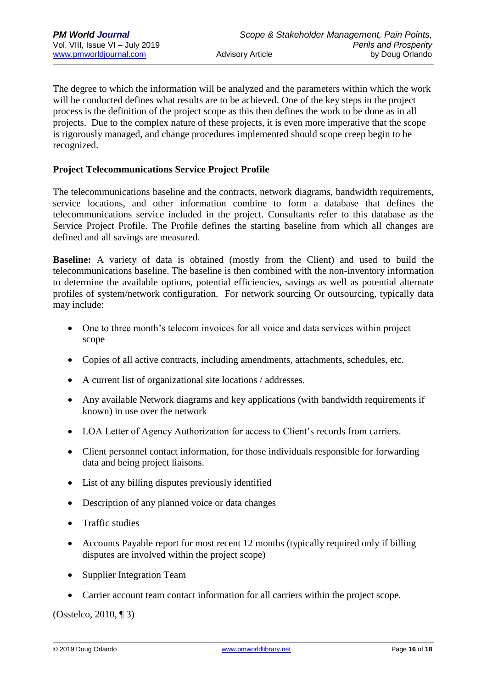The degree to which the information will be analyzed and the parameters within which the work will be conducted defines what results are to be achieved. One of the key steps in the project process is the definition of the project scope as this then defines the work to be done as in all projects. Due to the complex nature of these projects, it is even more imperative that the scope is rigorously managed, and change procedures implemented should scope creep begin to be recognized.

# **Project Telecommunications Service Project Profile**

The telecommunications baseline and the contracts, network diagrams, bandwidth requirements, service locations, and other information combine to form a database that defines the telecommunications service included in the project. Consultants refer to this database as the Service Project Profile. The Profile defines the starting baseline from which all changes are defined and all savings are measured.

**Baseline:** A variety of data is obtained (mostly from the Client) and used to build the telecommunications baseline. The baseline is then combined with the non-inventory information to determine the available options, potential efficiencies, savings as well as potential alternate profiles of system/network configuration. For network sourcing Or outsourcing, typically data may include:

- One to three month's telecom invoices for all voice and data services within project scope
- Copies of all active contracts, including amendments, attachments, schedules, etc.
- A current list of organizational site locations / addresses.
- Any available Network diagrams and key applications (with bandwidth requirements if known) in use over the network
- LOA Letter of Agency Authorization for access to Client's records from carriers.
- Client personnel contact information, for those individuals responsible for forwarding data and being project liaisons.
- List of any billing disputes previously identified
- Description of any planned voice or data changes
- Traffic studies
- Accounts Payable report for most recent 12 months (typically required only if billing disputes are involved within the project scope)
- Supplier Integration Team
- Carrier account team contact information for all carriers within the project scope.

(Osstelco, 2010, ¶ 3)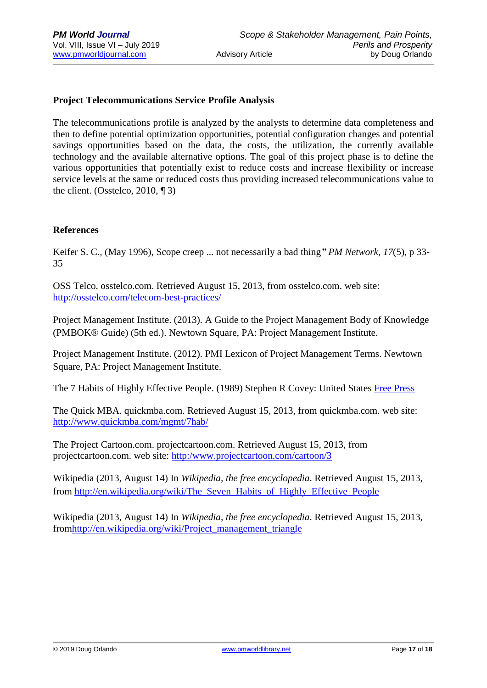# **Project Telecommunications Service Profile Analysis**

The telecommunications profile is analyzed by the analysts to determine data completeness and then to define potential optimization opportunities, potential configuration changes and potential savings opportunities based on the data, the costs, the utilization, the currently available technology and the available alternative options. The goal of this project phase is to define the various opportunities that potentially exist to reduce costs and increase flexibility or increase service levels at the same or reduced costs thus providing increased telecommunications value to the client. (Osstelco, 2010, ¶ 3)

# **References**

Keifer S. C.*,* (May 1996), Scope creep ... not necessarily a bad thing*" PM Network*, *17*(5), p 33- 35

OSS Telco. osstelco.com. Retrieved August 15, 2013, from osstelco.com. web site: <http://osstelco.com/telecom-best-practices/>

Project Management Institute. (2013). A Guide to the Project Management Body of Knowledge (PMBOK® Guide) (5th ed.). Newtown Square, PA: Project Management Institute.

Project Management Institute. (2012). PMI Lexicon of Project Management Terms. Newtown Square, PA: Project Management Institute.

The 7 Habits of Highly Effective People. (1989) Stephen R Covey: United States [Free Press](http://en.wikipedia.org/wiki/Free_Press_(publisher))

The Quick MBA. quickmba.com. Retrieved August 15, 2013, from quickmba.com. web site: <http://www.quickmba.com/mgmt/7hab/>

The Project Cartoon.com. projectcartoon.com. Retrieved August 15, 2013, from projectcartoon.com. web site: [http:/www.projectcartoon.com/cartoon/3](http://www.projectcartoon.com/cartoon/3)

Wikipedia (2013, August 14) In *Wikipedia, the free encyclopedia*. Retrieved August 15, 2013, from [http://en.wikipedia.org/wiki/The\\_Seven\\_Habits\\_of\\_Highly\\_Effective\\_People](http://en.wikipedia.org/wiki/The_Seven_Habits_of_Highly_Effective_People)

Wikipedia (2013, August 14) In *Wikipedia, the free encyclopedia*. Retrieved August 15, 2013, fro[mhttp://en.wikipedia.org/wiki/Project\\_management\\_triangle](http://en.wikipedia.org/wiki/Project_management_triangle)